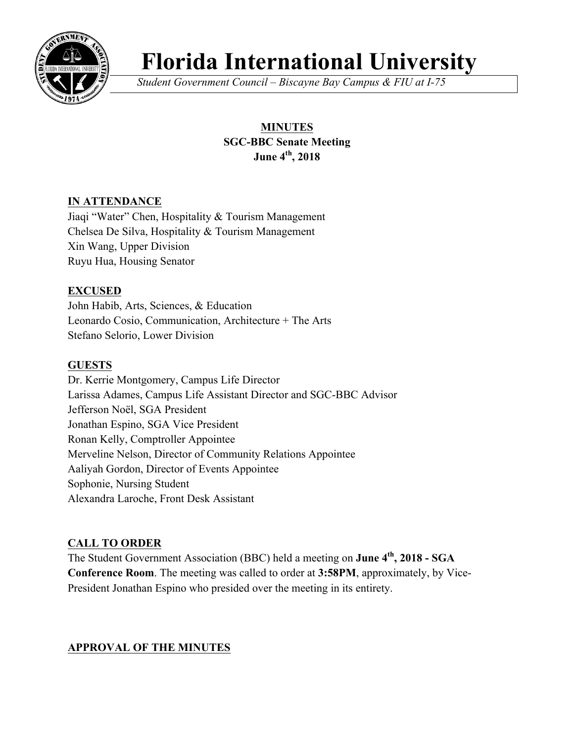

# **Florida International University**

*Student Government Council – Biscayne Bay Campus & FIU at I-75*

# **MINUTES SGC-BBC Senate Meeting June 4th, 2018**

# **IN ATTENDANCE**

Jiaqi "Water" Chen, Hospitality & Tourism Management Chelsea De Silva, Hospitality & Tourism Management Xin Wang, Upper Division Ruyu Hua, Housing Senator

# **EXCUSED**

John Habib, Arts, Sciences, & Education Leonardo Cosio, Communication, Architecture + The Arts Stefano Selorio, Lower Division

# **GUESTS**

Dr. Kerrie Montgomery, Campus Life Director Larissa Adames, Campus Life Assistant Director and SGC-BBC Advisor Jefferson Noël, SGA President Jonathan Espino, SGA Vice President Ronan Kelly, Comptroller Appointee Merveline Nelson, Director of Community Relations Appointee Aaliyah Gordon, Director of Events Appointee Sophonie, Nursing Student Alexandra Laroche, Front Desk Assistant

# **CALL TO ORDER**

The Student Government Association (BBC) held a meeting on **June 4th, 2018 - SGA Conference Room**. The meeting was called to order at **3:58PM**, approximately, by Vice-President Jonathan Espino who presided over the meeting in its entirety.

# **APPROVAL OF THE MINUTES**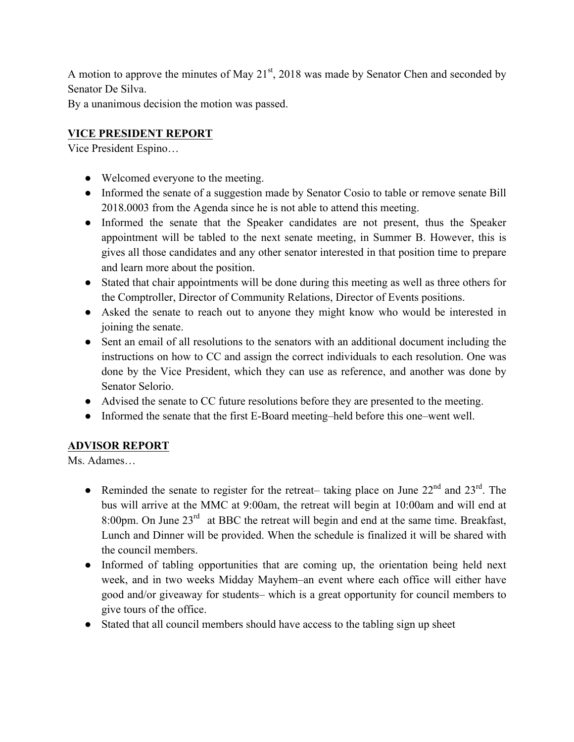A motion to approve the minutes of May  $21<sup>st</sup>$ , 2018 was made by Senator Chen and seconded by Senator De Silva.

By a unanimous decision the motion was passed.

# **VICE PRESIDENT REPORT**

Vice President Espino…

- Welcomed everyone to the meeting.
- Informed the senate of a suggestion made by Senator Cosio to table or remove senate Bill 2018.0003 from the Agenda since he is not able to attend this meeting.
- Informed the senate that the Speaker candidates are not present, thus the Speaker appointment will be tabled to the next senate meeting, in Summer B. However, this is gives all those candidates and any other senator interested in that position time to prepare and learn more about the position.
- Stated that chair appointments will be done during this meeting as well as three others for the Comptroller, Director of Community Relations, Director of Events positions.
- Asked the senate to reach out to anyone they might know who would be interested in joining the senate.
- Sent an email of all resolutions to the senators with an additional document including the instructions on how to CC and assign the correct individuals to each resolution. One was done by the Vice President, which they can use as reference, and another was done by Senator Selorio.
- Advised the senate to CC future resolutions before they are presented to the meeting.
- Informed the senate that the first E-Board meeting–held before this one–went well.

# **ADVISOR REPORT**

Ms. Adames…

- Reminded the senate to register for the retreat- taking place on June  $22<sup>nd</sup>$  and  $23<sup>rd</sup>$ . The bus will arrive at the MMC at 9:00am, the retreat will begin at 10:00am and will end at 8:00pm. On June 23<sup>rd</sup> at BBC the retreat will begin and end at the same time. Breakfast, Lunch and Dinner will be provided. When the schedule is finalized it will be shared with the council members.
- Informed of tabling opportunities that are coming up, the orientation being held next week, and in two weeks Midday Mayhem–an event where each office will either have good and/or giveaway for students– which is a great opportunity for council members to give tours of the office.
- Stated that all council members should have access to the tabling sign up sheet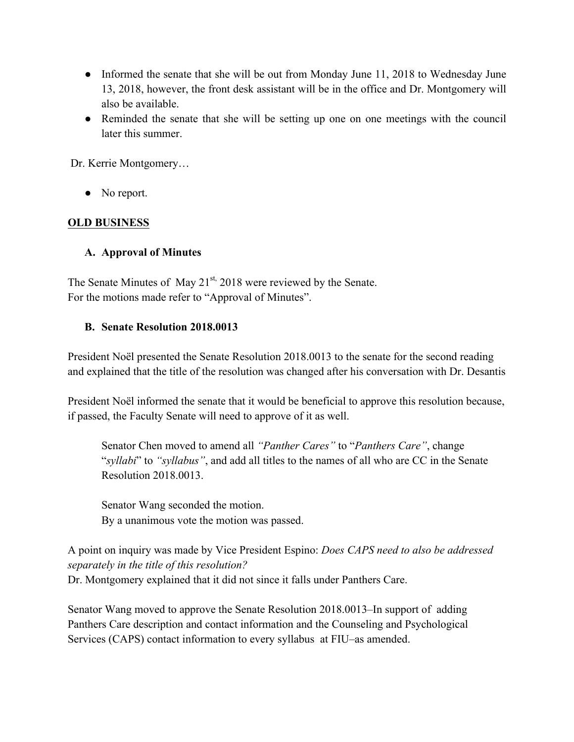- Informed the senate that she will be out from Monday June 11, 2018 to Wednesday June 13, 2018, however, the front desk assistant will be in the office and Dr. Montgomery will also be available.
- Reminded the senate that she will be setting up one on one meetings with the council later this summer.

Dr. Kerrie Montgomery…

• No report.

## **OLD BUSINESS**

## **A. Approval of Minutes**

The Senate Minutes of May 21<sup>st,</sup> 2018 were reviewed by the Senate. For the motions made refer to "Approval of Minutes".

## **B. Senate Resolution 2018.0013**

President Noël presented the Senate Resolution 2018.0013 to the senate for the second reading and explained that the title of the resolution was changed after his conversation with Dr. Desantis

President Noël informed the senate that it would be beneficial to approve this resolution because, if passed, the Faculty Senate will need to approve of it as well.

Senator Chen moved to amend all *"Panther Cares"* to "*Panthers Care"*, change "*syllabi*" to *"syllabus"*, and add all titles to the names of all who are CC in the Senate Resolution 2018.0013.

Senator Wang seconded the motion. By a unanimous vote the motion was passed.

A point on inquiry was made by Vice President Espino: *Does CAPS need to also be addressed separately in the title of this resolution?* Dr. Montgomery explained that it did not since it falls under Panthers Care.

Senator Wang moved to approve the Senate Resolution 2018.0013–In support of adding Panthers Care description and contact information and the Counseling and Psychological Services (CAPS) contact information to every syllabus at FIU–as amended.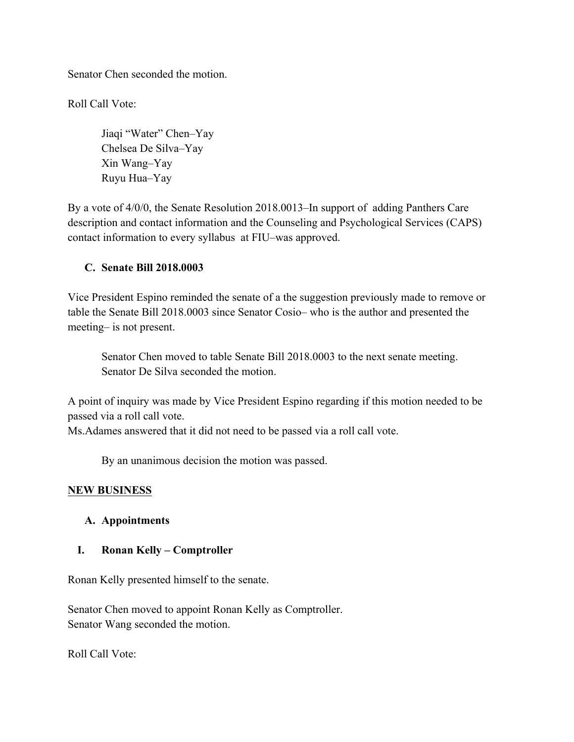Senator Chen seconded the motion.

Roll Call Vote:

Jiaqi "Water" Chen–Yay Chelsea De Silva–Yay Xin Wang–Yay Ruyu Hua–Yay

By a vote of 4/0/0, the Senate Resolution 2018.0013–In support of adding Panthers Care description and contact information and the Counseling and Psychological Services (CAPS) contact information to every syllabus at FIU–was approved.

#### **C. Senate Bill 2018.0003**

Vice President Espino reminded the senate of a the suggestion previously made to remove or table the Senate Bill 2018.0003 since Senator Cosio– who is the author and presented the meeting– is not present.

Senator Chen moved to table Senate Bill 2018.0003 to the next senate meeting. Senator De Silva seconded the motion.

A point of inquiry was made by Vice President Espino regarding if this motion needed to be passed via a roll call vote.

Ms.Adames answered that it did not need to be passed via a roll call vote.

By an unanimous decision the motion was passed.

## **NEW BUSINESS**

## **A. Appointments**

## **I. Ronan Kelly – Comptroller**

Ronan Kelly presented himself to the senate.

Senator Chen moved to appoint Ronan Kelly as Comptroller. Senator Wang seconded the motion.

Roll Call Vote: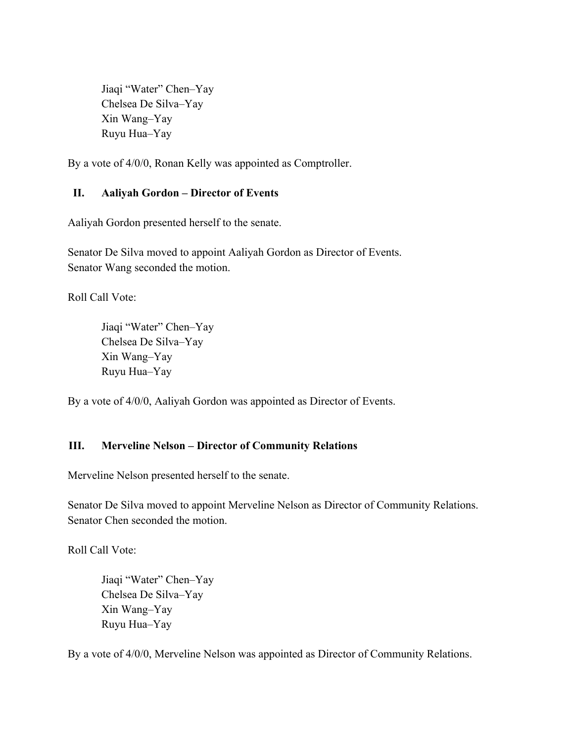Jiaqi "Water" Chen–Yay Chelsea De Silva–Yay Xin Wang–Yay Ruyu Hua–Yay

By a vote of 4/0/0, Ronan Kelly was appointed as Comptroller.

## **II. Aaliyah Gordon – Director of Events**

Aaliyah Gordon presented herself to the senate.

Senator De Silva moved to appoint Aaliyah Gordon as Director of Events. Senator Wang seconded the motion.

Roll Call Vote:

Jiaqi "Water" Chen–Yay Chelsea De Silva–Yay Xin Wang–Yay Ruyu Hua–Yay

By a vote of 4/0/0, Aaliyah Gordon was appointed as Director of Events.

## **III. Merveline Nelson – Director of Community Relations**

Merveline Nelson presented herself to the senate.

Senator De Silva moved to appoint Merveline Nelson as Director of Community Relations. Senator Chen seconded the motion.

Roll Call Vote:

Jiaqi "Water" Chen–Yay Chelsea De Silva–Yay Xin Wang–Yay Ruyu Hua–Yay

By a vote of 4/0/0, Merveline Nelson was appointed as Director of Community Relations.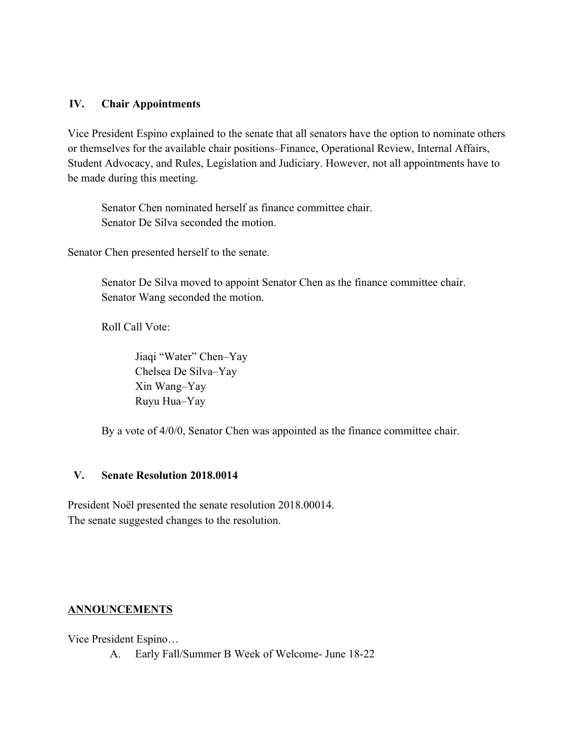#### **IV. Chair Appointments**

Vice President Espino explained to the senate that all senators have the option to nominate others or themselves for the available chair positions–Finance, Operational Review, Internal Affairs, Student Advocacy, and Rules, Legislation and Judiciary. However, not all appointments have to be made during this meeting.

Senator Chen nominated herself as finance committee chair. Senator De Silva seconded the motion.

Senator Chen presented herself to the senate.

Senator De Silva moved to appoint Senator Chen as the finance committee chair. Senator Wang seconded the motion.

Roll Call Vote:

Jiaqi "Water" Chen–Yay Chelsea De Silva–Yay Xin Wang–Yay Ruyu Hua–Yay

By a vote of 4/0/0, Senator Chen was appointed as the finance committee chair.

#### **V. Senate Resolution 2018.0014**

President Noël presented the senate resolution 2018.00014. The senate suggested changes to the resolution.

## **ANNOUNCEMENTS**

Vice President Espino…

A. Early Fall/Summer B Week of Welcome- June 18-22